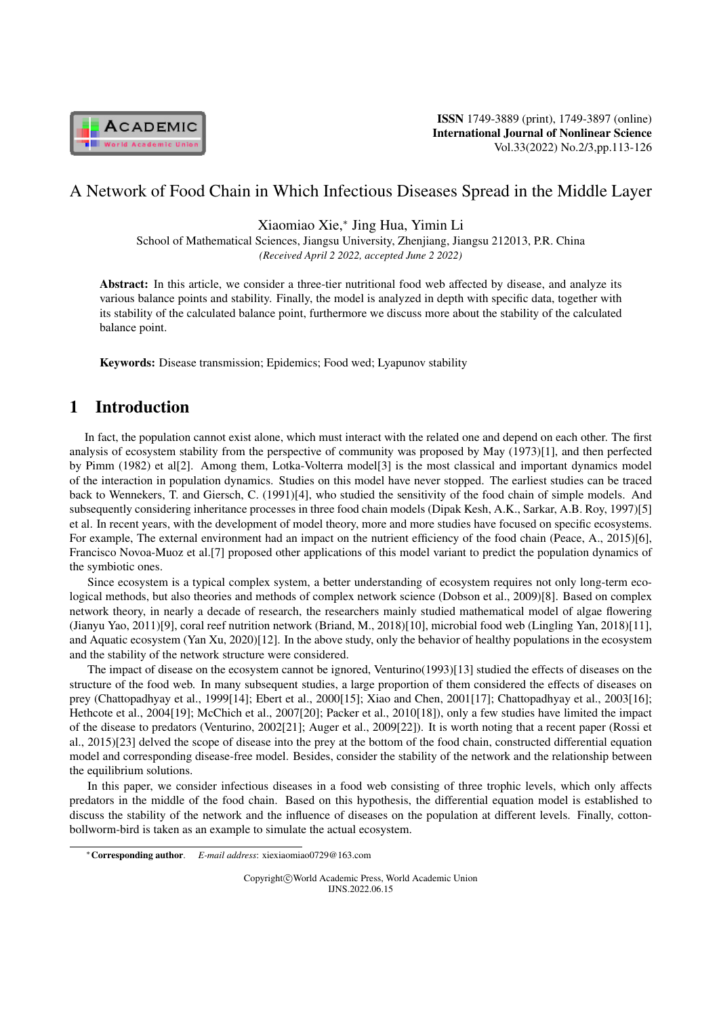

ISSN 1749-3889 (print), 1749-3897 (online) International Journal of Nonlinear Science Vol.33(2022) No.2/3,pp.113-126

# A Network of Food Chain in Which Infectious Diseases Spread in the Middle Layer

Xiaomiao Xie,*<sup>∗</sup>* Jing Hua, Yimin Li

School of Mathematical Sciences, Jiangsu University, Zhenjiang, Jiangsu 212013, P.R. China *(Received April 2 2022, accepted June 2 2022)*

Abstract: In this article, we consider a three-tier nutritional food web affected by disease, and analyze its various balance points and stability. Finally, the model is analyzed in depth with specific data, together with its stability of the calculated balance point, furthermore we discuss more about the stability of the calculated balance point.

Keywords: Disease transmission; Epidemics; Food wed; Lyapunov stability

# 1 Introduction

In fact, the population cannot exist alone, which must interact with the related one and depend on each other. The first analysis of ecosystem stability from the perspective of community was proposed by May (1973)[1], and then perfected by Pimm (1982) et al[2]. Among them, Lotka-Volterra model[3] is the most classical and important dynamics model of the interaction in population dynamics. Studies on this model have never stopped. The earliest studies can be traced back to Wennekers, T. and Giersch, C. (1991)[4], who studied the sensitivity of the food chain of simple models. And subsequently considering inheritance processes in three food chain models (Dipak Kesh, A.K., Sarkar, A.B. Roy, 1997)[5] et al. In recent years, with the development of model theory, more and more studies have focused on specific ecosystems. For example, The external environment had an impact on the nutrient efficiency of the food chain (Peace, A., 2015)[6], Francisco Novoa-Muoz et al.[7] proposed other applications of this model variant to predict the population dynamics of the symbiotic ones.

Since ecosystem is a typical complex system, a better understanding of ecosystem requires not only long-term ecological methods, but also theories and methods of complex network science (Dobson et al., 2009)[8]. Based on complex network theory, in nearly a decade of research, the researchers mainly studied mathematical model of algae flowering (Jianyu Yao, 2011)[9], coral reef nutrition network (Briand, M., 2018)[10], microbial food web (Lingling Yan, 2018)[11], and Aquatic ecosystem (Yan Xu, 2020)[12]. In the above study, only the behavior of healthy populations in the ecosystem and the stability of the network structure were considered.

The impact of disease on the ecosystem cannot be ignored, Venturino(1993)[13] studied the effects of diseases on the structure of the food web. In many subsequent studies, a large proportion of them considered the effects of diseases on prey (Chattopadhyay et al., 1999[14]; Ebert et al., 2000[15]; Xiao and Chen, 2001[17]; Chattopadhyay et al., 2003[16]; Hethcote et al., 2004[19]; McChich et al., 2007[20]; Packer et al., 2010[18]), only a few studies have limited the impact of the disease to predators (Venturino, 2002[21]; Auger et al., 2009[22]). It is worth noting that a recent paper (Rossi et al., 2015)[23] delved the scope of disease into the prey at the bottom of the food chain, constructed differential equation model and corresponding disease-free model. Besides, consider the stability of the network and the relationship between the equilibrium solutions.

In this paper, we consider infectious diseases in a food web consisting of three trophic levels, which only affects predators in the middle of the food chain. Based on this hypothesis, the differential equation model is established to discuss the stability of the network and the influence of diseases on the population at different levels. Finally, cottonbollworm-bird is taken as an example to simulate the actual ecosystem.

*<sup>∗</sup>*Corresponding author. *E-mail address*: xiexiaomiao0729@163.com

Copyright*⃝*c World Academic Press, World Academic Union IJNS.2022.06.15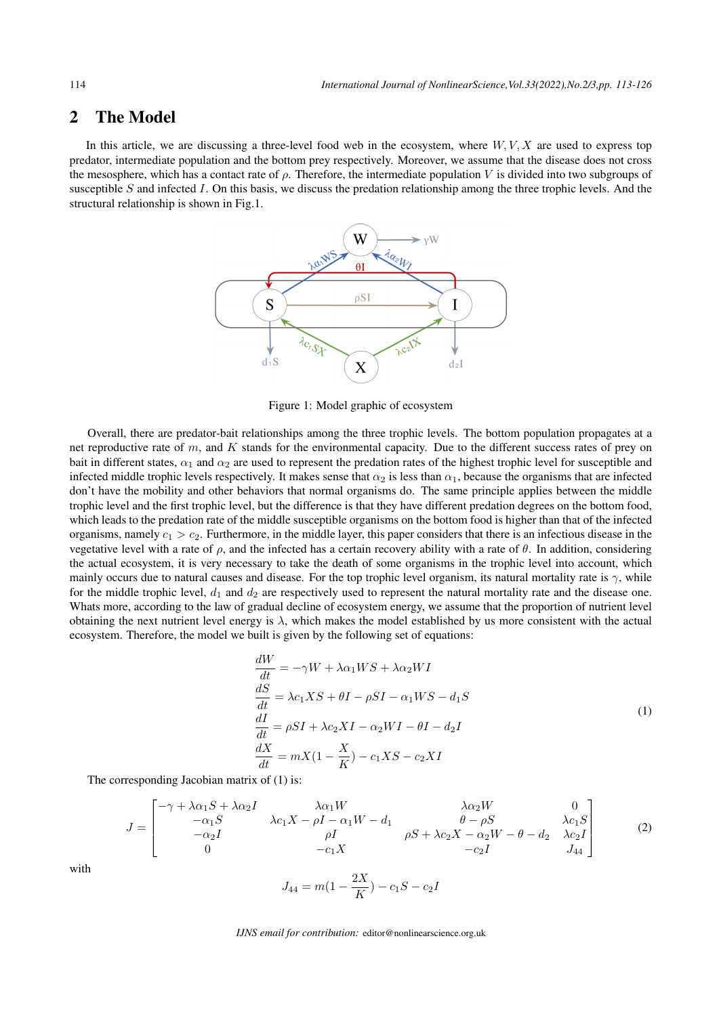# 2 The Model

In this article, we are discussing a three-level food web in the ecosystem, where *W, V, X* are used to express top predator, intermediate population and the bottom prey respectively. Moreover, we assume that the disease does not cross the mesosphere, which has a contact rate of  $ρ$ . Therefore, the intermediate population *V* is divided into two subgroups of susceptible *S* and infected *I*. On this basis, we discuss the predation relationship among the three trophic levels. And the structural relationship is shown in Fig.1.



Figure 1: Model graphic of ecosystem

Overall, there are predator-bait relationships among the three trophic levels. The bottom population propagates at a net reproductive rate of *m*, and *K* stands for the environmental capacity. Due to the different success rates of prey on bait in different states,  $\alpha_1$  and  $\alpha_2$  are used to represent the predation rates of the highest trophic level for susceptible and infected middle trophic levels respectively. It makes sense that  $\alpha_2$  is less than  $\alpha_1$ , because the organisms that are infected don't have the mobility and other behaviors that normal organisms do. The same principle applies between the middle trophic level and the first trophic level, but the difference is that they have different predation degrees on the bottom food, which leads to the predation rate of the middle susceptible organisms on the bottom food is higher than that of the infected organisms, namely  $c_1 > c_2$ . Furthermore, in the middle layer, this paper considers that there is an infectious disease in the vegetative level with a rate of  $\rho$ , and the infected has a certain recovery ability with a rate of  $\theta$ . In addition, considering the actual ecosystem, it is very necessary to take the death of some organisms in the trophic level into account, which mainly occurs due to natural causes and disease. For the top trophic level organism, its natural mortality rate is  $\gamma$ , while for the middle trophic level,  $d_1$  and  $d_2$  are respectively used to represent the natural mortality rate and the disease one. Whats more, according to the law of gradual decline of ecosystem energy, we assume that the proportion of nutrient level obtaining the next nutrient level energy is  $\lambda$ , which makes the model established by us more consistent with the actual ecosystem. Therefore, the model we built is given by the following set of equations:

$$
\frac{dW}{dt} = -\gamma W + \lambda \alpha_1 W S + \lambda \alpha_2 W I
$$
  
\n
$$
\frac{dS}{dt} = \lambda c_1 X S + \theta I - \rho S I - \alpha_1 W S - d_1 S
$$
  
\n
$$
\frac{dI}{dt} = \rho S I + \lambda c_2 X I - \alpha_2 W I - \theta I - d_2 I
$$
  
\n
$$
\frac{dX}{dt} = m X (1 - \frac{X}{K}) - c_1 X S - c_2 X I
$$
\n(1)

The corresponding Jacobian matrix of (1) is:

$$
J = \begin{bmatrix} -\gamma + \lambda \alpha_1 S + \lambda \alpha_2 I & \lambda \alpha_1 W & \lambda \alpha_2 W & 0 \\ -\alpha_1 S & \lambda c_1 X - \rho I - \alpha_1 W - d_1 & \theta - \rho S & \lambda c_1 S \\ -\alpha_2 I & \rho I & \rho S + \lambda c_2 X - \alpha_2 W - \theta - d_2 & \lambda c_2 I \\ 0 & -c_1 X & -c_2 I & J_{44} \end{bmatrix}
$$
(2)

 $\frac{2\pi}{K}$ ) –  $c_1S - c_2I$ 

with

 $J_{44} = m(1 - \frac{2X}{K})$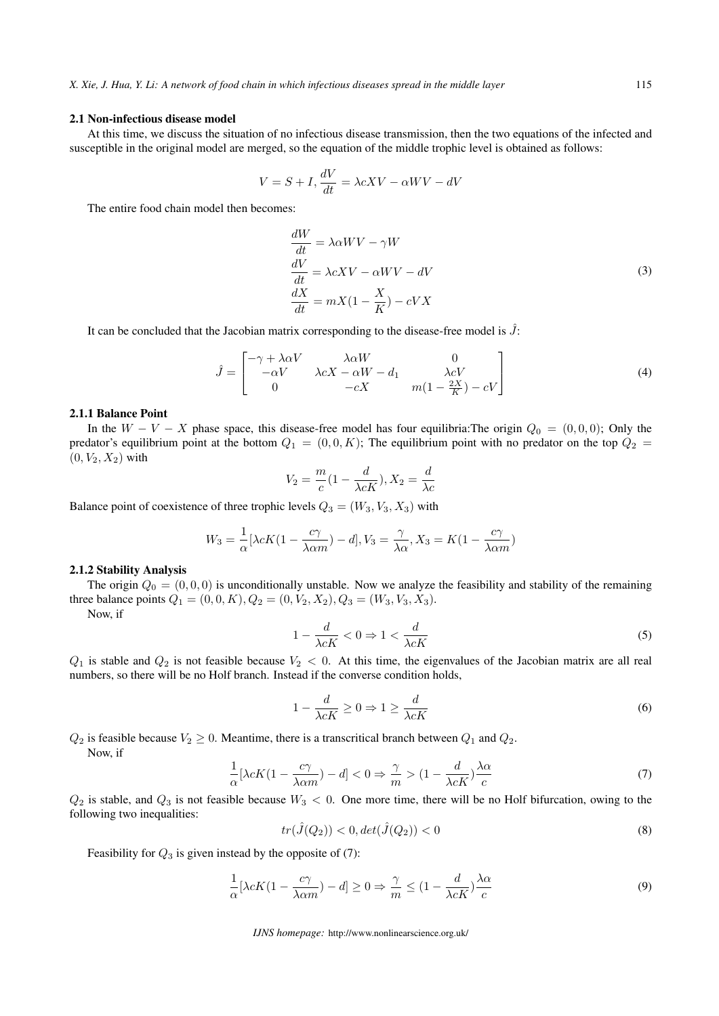#### 2.1 Non-infectious disease model

At this time, we discuss the situation of no infectious disease transmission, then the two equations of the infected and susceptible in the original model are merged, so the equation of the middle trophic level is obtained as follows:

$$
V = S + I, \frac{dV}{dt} = \lambda cXV - \alpha WV - dV
$$

The entire food chain model then becomes:

$$
\frac{dW}{dt} = \lambda \alpha WV - \gamma W
$$
  
\n
$$
\frac{dV}{dt} = \lambda cXV - \alpha WV - dV
$$
  
\n
$$
\frac{dX}{dt} = mX(1 - \frac{X}{K}) - cVX
$$
\n(3)

It can be concluded that the Jacobian matrix corresponding to the disease-free model is  $\hat{J}$ :

$$
\hat{J} = \begin{bmatrix}\n-\gamma + \lambda \alpha V & \lambda \alpha W & 0 \\
-\alpha V & \lambda cX - \alpha W - d_1 & \lambda cV \\
0 & -cX & m(1 - \frac{2X}{K}) - cV\n\end{bmatrix}
$$
\n(4)

#### 2.1.1 Balance Point

In the  $W - V - X$  phase space, this disease-free model has four equilibria:The origin  $Q_0 = (0, 0, 0)$ ; Only the predator's equilibrium point at the bottom  $Q_1 = (0,0,K)$ ; The equilibrium point with no predator on the top  $Q_2$  $(0, V_2, X_2)$  with

$$
V_2 = \frac{m}{c}(1 - \frac{d}{\lambda cK}), X_2 = \frac{d}{\lambda c}
$$

Balance point of coexistence of three trophic levels  $Q_3 = (W_3, V_3, X_3)$  with

$$
W_3 = \frac{1}{\alpha} [\lambda cK(1 - \frac{c\gamma}{\lambda \alpha m}) - d], V_3 = \frac{\gamma}{\lambda \alpha}, X_3 = K(1 - \frac{c\gamma}{\lambda \alpha m})
$$

## 2.1.2 Stability Analysis

The origin  $Q_0 = (0, 0, 0)$  is unconditionally unstable. Now we analyze the feasibility and stability of the remaining three balance points  $Q_1 = (0, 0, K), Q_2 = (0, V_2, X_2), Q_3 = (W_3, V_3, X_3).$ 

Now, if

$$
1 - \frac{d}{\lambda cK} < 0 \Rightarrow 1 < \frac{d}{\lambda cK} \tag{5}
$$

 $Q_1$  is stable and  $Q_2$  is not feasible because  $V_2 < 0$ . At this time, the eigenvalues of the Jacobian matrix are all real numbers, so there will be no Holf branch. Instead if the converse condition holds,

$$
1 - \frac{d}{\lambda cK} \ge 0 \Rightarrow 1 \ge \frac{d}{\lambda cK} \tag{6}
$$

 $Q_2$  is feasible because  $V_2 \geq 0$ . Meantime, there is a transcritical branch between  $Q_1$  and  $Q_2$ . Now, if

$$
\frac{1}{\alpha}[\lambda cK(1 - \frac{c\gamma}{\lambda \alpha m}) - d] < 0 \Rightarrow \frac{\gamma}{m} > (1 - \frac{d}{\lambda cK})\frac{\lambda \alpha}{c} \tag{7}
$$

 $Q_2$  is stable, and  $Q_3$  is not feasible because  $W_3 < 0$ . One more time, there will be no Holf bifurcation, owing to the following two inequalities:

$$
tr(\hat{J}(Q_2)) < 0, \det(\hat{J}(Q_2)) < 0 \tag{8}
$$

Feasibility for  $Q_3$  is given instead by the opposite of (7):

$$
\frac{1}{\alpha}[\lambda cK(1 - \frac{c\gamma}{\lambda \alpha m}) - d] \ge 0 \Rightarrow \frac{\gamma}{m} \le (1 - \frac{d}{\lambda cK})\frac{\lambda \alpha}{c} \tag{9}
$$

*IJNS homepage:* http://www.nonlinearscience.org.uk/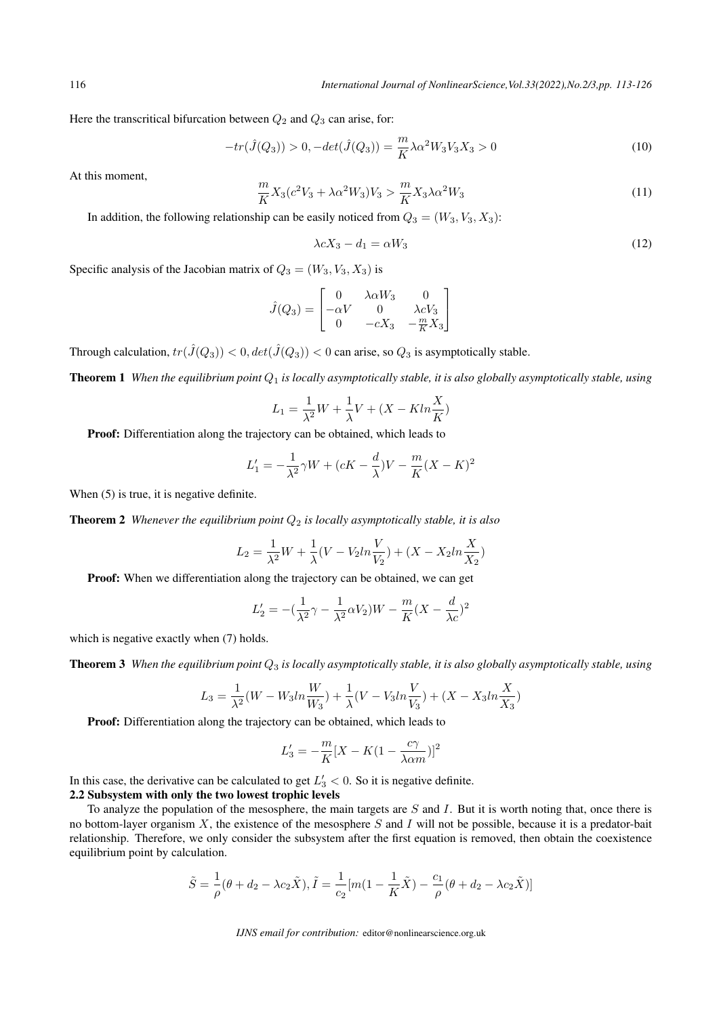116 *International Journal of NonlinearScience,Vol.33(2022),No.2/3,pp. 113-126*

Here the transcritical bifurcation between *Q*<sup>2</sup> and *Q*<sup>3</sup> can arise, for:

$$
-tr(\hat{J}(Q_3)) > 0, -det(\hat{J}(Q_3)) = \frac{m}{K}\lambda \alpha^2 W_3 V_3 X_3 > 0
$$
\n(10)

At this moment,

$$
\frac{m}{K}X_3(c^2V_3 + \lambda\alpha^2W_3)V_3 > \frac{m}{K}X_3\lambda\alpha^2W_3\tag{11}
$$

In addition, the following relationship can be easily noticed from  $Q_3 = (W_3, V_3, X_3)$ :

$$
\lambda c X_3 - d_1 = \alpha W_3 \tag{12}
$$

Specific analysis of the Jacobian matrix of  $Q_3 = (W_3, V_3, X_3)$  is

$$
\hat{J}(Q_3) = \begin{bmatrix}\n0 & \lambda \alpha W_3 & 0 \\
-\alpha V & 0 & \lambda c V_3 \\
0 & -c X_3 & -\frac{m}{K} X_3\n\end{bmatrix}
$$

Through calculation,  $tr(\hat{J}(Q_3)) < 0$ ,  $det(\hat{J}(Q_3)) < 0$  can arise, so  $Q_3$  is asymptotically stable.

Theorem 1 *When the equilibrium point Q*<sup>1</sup> *is locally asymptotically stable, it is also globally asymptotically stable, using*

$$
L_1 = \frac{1}{\lambda^2}W + \frac{1}{\lambda}V + (X - K \ln \frac{X}{K})
$$

Proof: Differentiation along the trajectory can be obtained, which leads to

$$
L_1' = -\frac{1}{\lambda^2} \gamma W + (cK - \frac{d}{\lambda})V - \frac{m}{K}(X - K)^2
$$

When  $(5)$  is true, it is negative definite.

**Theorem 2** *Whenever the equilibrium point*  $Q_2$  *is locally asymptotically stable, it is also* 

$$
L_2 = \frac{1}{\lambda^2}W + \frac{1}{\lambda}(V - V_2ln\frac{V}{V_2}) + (X - X_2ln\frac{X}{X_2})
$$

Proof: When we differentiation along the trajectory can be obtained, we can get

$$
L_2' = -\left(\frac{1}{\lambda^2}\gamma - \frac{1}{\lambda^2}\alpha V_2\right)W - \frac{m}{K}(X - \frac{d}{\lambda c})^2
$$

which is negative exactly when (7) holds.

Theorem 3 *When the equilibrium point Q*<sup>3</sup> *is locally asymptotically stable, it is also globally asymptotically stable, using*

$$
L_3 = \frac{1}{\lambda^2}(W - W_3ln\frac{W}{W_3}) + \frac{1}{\lambda}(V - V_3ln\frac{V}{V_3}) + (X - X_3ln\frac{X}{X_3})
$$

Proof: Differentiation along the trajectory can be obtained, which leads to

$$
L_3' = -\frac{m}{K}[X - K(1 - \frac{c\gamma}{\lambda \alpha m})]^2
$$

In this case, the derivative can be calculated to get  $L'_3 < 0$ . So it is negative definite.

#### 2.2 Subsystem with only the two lowest trophic levels

To analyze the population of the mesosphere, the main targets are *S* and *I*. But it is worth noting that, once there is no bottom-layer organism *X*, the existence of the mesosphere *S* and *I* will not be possible, because it is a predator-bait relationship. Therefore, we only consider the subsystem after the first equation is removed, then obtain the coexistence equilibrium point by calculation.

$$
\tilde{S} = \frac{1}{\rho}(\theta + d_2 - \lambda c_2 \tilde{X}), \tilde{I} = \frac{1}{c_2}[m(1 - \frac{1}{K}\tilde{X}) - \frac{c_1}{\rho}(\theta + d_2 - \lambda c_2 \tilde{X})]
$$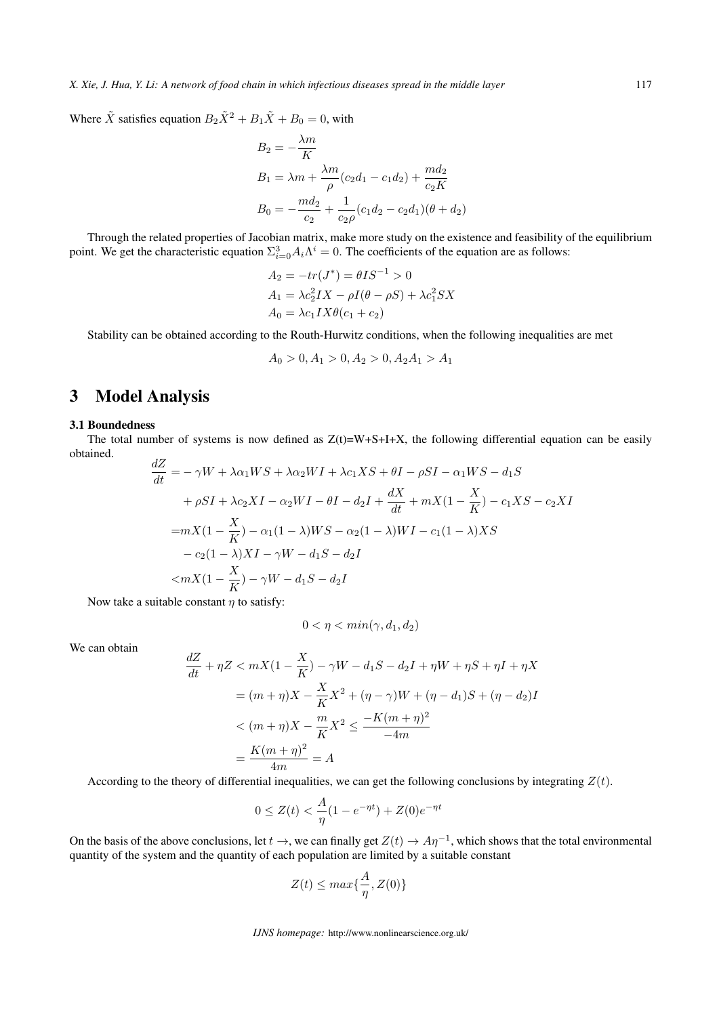*X. Xie, J. Hua, Y. Li: A network of food chain in which infectious diseases spread in the middle layer* 117

Where  $\tilde{X}$  satisfies equation  $B_2 \tilde{X}^2 + B_1 \tilde{X} + B_0 = 0$ , with

$$
B_2 = -\frac{\lambda m}{K}
$$
  
\n
$$
B_1 = \lambda m + \frac{\lambda m}{\rho} (c_2 d_1 - c_1 d_2) + \frac{m d_2}{c_2 K}
$$
  
\n
$$
B_0 = -\frac{m d_2}{c_2} + \frac{1}{c_2 \rho} (c_1 d_2 - c_2 d_1)(\theta + d_2)
$$

Through the related properties of Jacobian matrix, make more study on the existence and feasibility of the equilibrium point. We get the characteristic equation  $\Sigma_{i=0}^3 A_i \Lambda^i = 0$ . The coefficients of the equation are as follows:

$$
A_2 = -tr(J^*) = \theta IS^{-1} > 0
$$
  
\n
$$
A_1 = \lambda c_2^2 IX - \rho I(\theta - \rho S) + \lambda c_1^2 SX
$$
  
\n
$$
A_0 = \lambda c_1 IX \theta(c_1 + c_2)
$$

Stability can be obtained according to the Routh-Hurwitz conditions, when the following inequalities are met

$$
A_0 > 0, A_1 > 0, A_2 > 0, A_2 A_1 > A_1
$$

# 3 Model Analysis

#### 3.1 Boundedness

The total number of systems is now defined as  $Z(t)=W+S+I+X$ , the following differential equation can be easily obtained. *dZ*

$$
\frac{dZ}{dt} = -\gamma W + \lambda \alpha_1 W S + \lambda \alpha_2 W I + \lambda c_1 X S + \theta I - \rho S I - \alpha_1 W S - d_1 S
$$
  
+  $\rho S I + \lambda c_2 X I - \alpha_2 W I - \theta I - d_2 I + \frac{dX}{dt} + m X (1 - \frac{X}{K}) - c_1 X S - c_2 X I$   
=  $mX (1 - \frac{X}{K}) - \alpha_1 (1 - \lambda) W S - \alpha_2 (1 - \lambda) W I - c_1 (1 - \lambda) X S$   
-  $c_2 (1 - \lambda) X I - \gamma W - d_1 S - d_2 I$   
 $< mX (1 - \frac{X}{K}) - \gamma W - d_1 S - d_2 I$ 

Now take a suitable constant *η* to satisfy:

$$
0<\eta<\min(\gamma,d_1,d_2)
$$

We can obtain

$$
\frac{dZ}{dt} + \eta Z < mX(1 - \frac{X}{K}) - \gamma W - d_1 S - d_2 I + \eta W + \eta S + \eta I + \eta X
$$
\n
$$
= (m + \eta)X - \frac{X}{K}X^2 + (\eta - \gamma)W + (\eta - d_1)S + (\eta - d_2)I
$$
\n
$$
< (m + \eta)X - \frac{m}{K}X^2 \le \frac{-K(m + \eta)^2}{-4m}
$$
\n
$$
= \frac{K(m + \eta)^2}{4m} = A
$$

According to the theory of differential inequalities, we can get the following conclusions by integrating  $Z(t)$ .

$$
0 \le Z(t) < \frac{A}{\eta}(1 - e^{-\eta t}) + Z(0)e^{-\eta t}
$$

On the basis of the above conclusions, let  $t \to$ , we can finally get  $Z(t) \to A\eta^{-1}$ , which shows that the total environmental quantity of the system and the quantity of each population are limited by a suitable constant

$$
Z(t) \le \max\{\frac{A}{\eta}, Z(0)\}
$$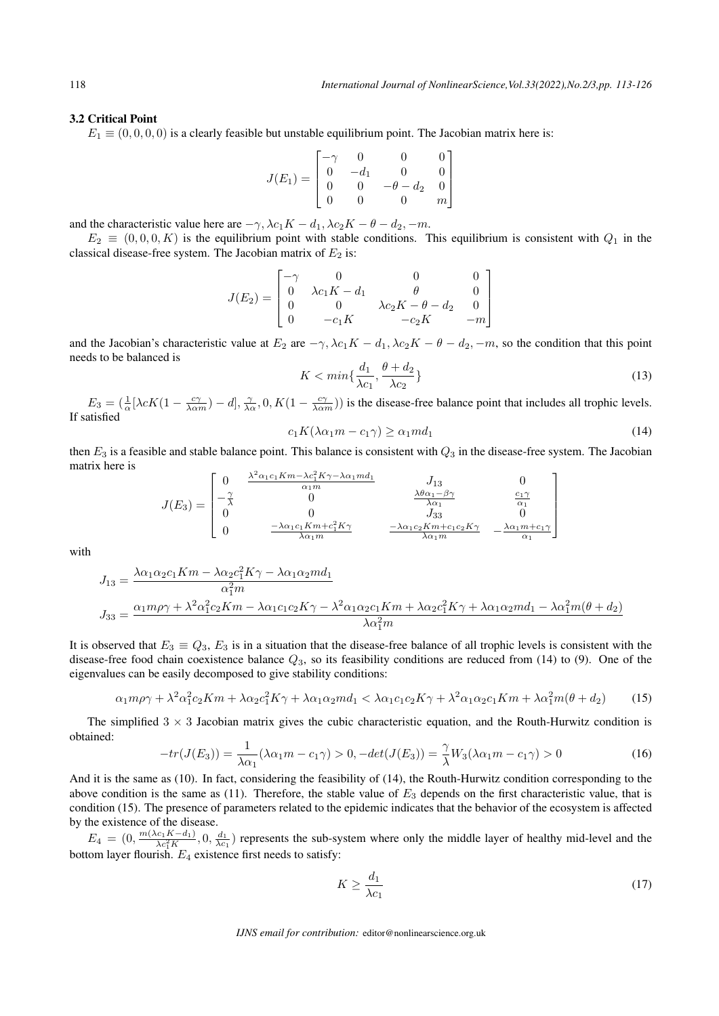### 3.2 Critical Point

 $E_1 \equiv (0, 0, 0, 0)$  is a clearly feasible but unstable equilibrium point. The Jacobian matrix here is:

$$
J(E_1) = \begin{bmatrix} -\gamma & 0 & 0 & 0 \\ 0 & -d_1 & 0 & 0 \\ 0 & 0 & -\theta - d_2 & 0 \\ 0 & 0 & 0 & m \end{bmatrix}
$$

and the characteristic value here are  $-\gamma$ ,  $\lambda c_1 K - d_1$ ,  $\lambda c_2 K - \theta - d_2$ ,  $-m$ .

 $E_2 \equiv (0,0,0,K)$  is the equilibrium point with stable conditions. This equilibrium is consistent with  $Q_1$  in the classical disease-free system. The Jacobian matrix of  $E_2$  is:

$$
J(E_2) = \begin{bmatrix} -\gamma & 0 & 0 & 0\\ 0 & \lambda c_1 K - d_1 & \theta & 0\\ 0 & 0 & \lambda c_2 K - \theta - d_2 & 0\\ 0 & -c_1 K & -c_2 K & -m \end{bmatrix}
$$

and the Jacobian's characteristic value at  $E_2$  are  $-\gamma$ ,  $\lambda c_1 K - d_1$ ,  $\lambda c_2 K - \theta - d_2$ ,  $-m$ , so the condition that this point needs to be balanced is

$$
K < \min\{\frac{d_1}{\lambda c_1}, \frac{\theta + d_2}{\lambda c_2}\}\tag{13}
$$

 $E_3 = \left(\frac{1}{\alpha} [\lambda cK(1 - \frac{c\gamma}{\lambda \alpha m}) - d], \frac{\gamma}{\lambda \alpha}, 0, K(1 - \frac{c\gamma}{\lambda \alpha m})\right)$  is the disease-free balance point that includes all trophic levels. If satisfied

$$
c_1 K(\lambda \alpha_1 m - c_1 \gamma) \ge \alpha_1 m d_1 \tag{14}
$$

then *E*<sup>3</sup> is a feasible and stable balance point. This balance is consistent with *Q*<sup>3</sup> in the disease-free system. The Jacobian matrix here is <sup>2</sup>*α*1*c*1*Km−λc*<sup>2</sup>

$$
J(E_3) = \begin{bmatrix} 0 & \frac{\lambda^2 \alpha_1 c_1 K m - \lambda c_1^2 K \gamma - \lambda \alpha_1 m d_1}{\alpha_1 m} & J_{13} & 0\\ -\frac{\gamma}{\lambda} & 0 & \frac{\lambda \theta \alpha_1 - \beta \gamma}{\lambda \alpha_1} & \frac{c_1 \gamma}{\alpha_1} \\ 0 & 0 & J_{33} & 0\\ 0 & \frac{-\lambda \alpha_1 c_1 K m + c_1^2 K \gamma}{\lambda \alpha_1 m} & \frac{-\lambda \alpha_1 c_2 K m + c_1 c_2 K \gamma}{\lambda \alpha_1 m} & -\frac{\lambda \alpha_1 m + c_1 \gamma}{\alpha_1} \end{bmatrix}
$$

with

$$
J_{13} = \frac{\lambda \alpha_1 \alpha_2 c_1 K m - \lambda \alpha_2 c_1^2 K \gamma - \lambda \alpha_1 \alpha_2 m d_1}{\alpha_1^2 m}
$$
  

$$
J_{33} = \frac{\alpha_1 m \rho \gamma + \lambda^2 \alpha_1^2 c_2 K m - \lambda \alpha_1 c_1 c_2 K \gamma - \lambda^2 \alpha_1 \alpha_2 c_1 K m + \lambda \alpha_2 c_1^2 K \gamma + \lambda \alpha_1 \alpha_2 m d_1 - \lambda \alpha_1^2 m (\theta + d_2)}{\lambda \alpha_1^2 m}
$$

It is observed that  $E_3 \equiv Q_3$ ,  $E_3$  is in a situation that the disease-free balance of all trophic levels is consistent with the disease-free food chain coexistence balance *Q*3, so its feasibility conditions are reduced from (14) to (9). One of the eigenvalues can be easily decomposed to give stability conditions:

$$
\alpha_1 m \rho \gamma + \lambda^2 \alpha_1^2 c_2 K m + \lambda \alpha_2 c_1^2 K \gamma + \lambda \alpha_1 \alpha_2 m d_1 < \lambda \alpha_1 c_1 c_2 K \gamma + \lambda^2 \alpha_1 \alpha_2 c_1 K m + \lambda \alpha_1^2 m (\theta + d_2) \tag{15}
$$

The simplified 3 *×* 3 Jacobian matrix gives the cubic characteristic equation, and the Routh-Hurwitz condition is obtained:

$$
-tr(J(E_3)) = \frac{1}{\lambda \alpha_1} (\lambda \alpha_1 m - c_1 \gamma) > 0, -det(J(E_3)) = \frac{\gamma}{\lambda} W_3 (\lambda \alpha_1 m - c_1 \gamma) > 0
$$
\n(16)

And it is the same as (10). In fact, considering the feasibility of (14), the Routh-Hurwitz condition corresponding to the above condition is the same as (11). Therefore, the stable value of *E*<sup>3</sup> depends on the first characteristic value, that is condition (15). The presence of parameters related to the epidemic indicates that the behavior of the ecosystem is affected by the existence of the disease.

 $E_4 = (0, \frac{m(\lambda c_1 K - d_1)}{\lambda c_1^2 K}, 0, \frac{d_1}{\lambda c_1})$  represents the sub-system where only the middle layer of healthy mid-level and the bottom layer flourish. *E*<sup>4</sup> existence first needs to satisfy:

$$
K \ge \frac{d_1}{\lambda c_1} \tag{17}
$$

*IJNS email for contribution:* editor@nonlinearscience.org.uk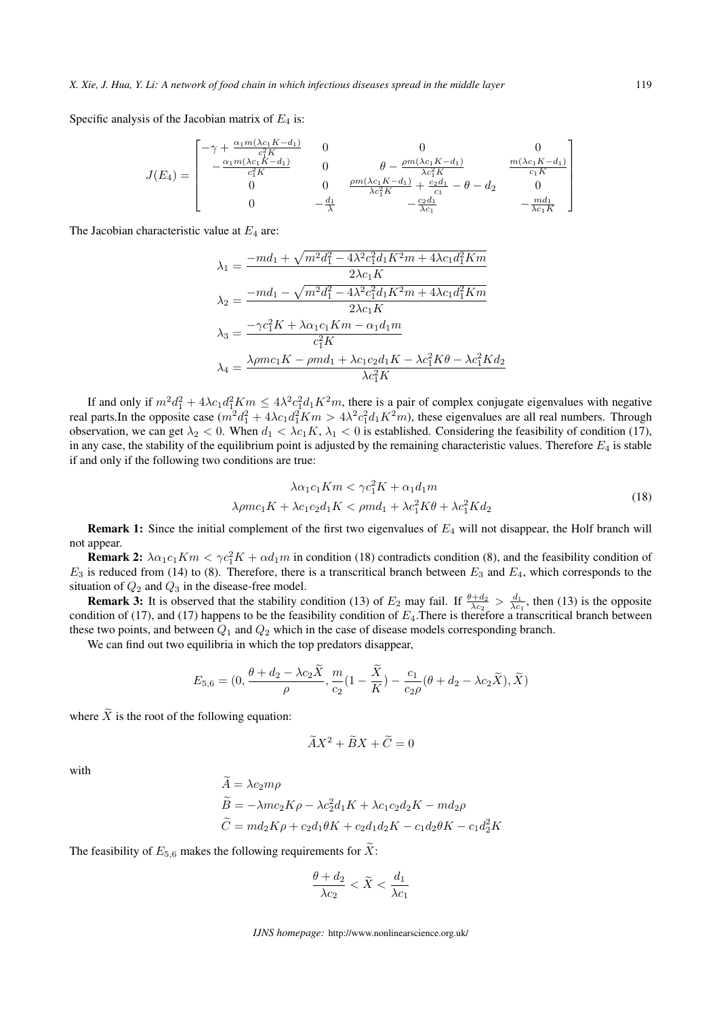Specific analysis of the Jacobian matrix of  $E_4$  is:

$$
J(E_4) = \begin{bmatrix} -\gamma + \frac{\alpha_1 m (\lambda c_1 K - d_1)}{c_1^2 K} & 0 & 0 & 0\\ -\frac{\alpha_1 m (\lambda c_1 K - d_1)}{c_1^2 K} & 0 & \theta - \frac{\rho m (\lambda c_1 K - d_1)}{\lambda c_1^2 K} & \frac{m (\lambda c_1 K - d_1)}{c_1 K} \\ 0 & 0 & \frac{\rho m (\lambda c_1 K - d_1)}{\lambda c_1^2 K} + \frac{c_2 d_1}{c_1} - \theta - d_2 & 0\\ 0 & -\frac{d_1}{\lambda} & -\frac{c_2 d_1}{\lambda c_1} & -\frac{m d_1}{\lambda c_1 K} \end{bmatrix}
$$

The Jacobian characteristic value at *E*<sup>4</sup> are:

$$
\lambda_1 = \frac{-md_1 + \sqrt{m^2 d_1^2 - 4\lambda^2 c_1^2 d_1 K^2 m + 4\lambda c_1 d_1^2 K m}}{2\lambda c_1 K}
$$
  
\n
$$
\lambda_2 = \frac{-md_1 - \sqrt{m^2 d_1^2 - 4\lambda^2 c_1^2 d_1 K^2 m + 4\lambda c_1 d_1^2 K m}}{2\lambda c_1 K}
$$
  
\n
$$
\lambda_3 = \frac{-\gamma c_1^2 K + \lambda \alpha_1 c_1 K m - \alpha_1 d_1 m}{c_1^2 K}
$$
  
\n
$$
\lambda_4 = \frac{\lambda \rho mc_1 K - \rho m d_1 + \lambda c_1 c_2 d_1 K - \lambda c_1^2 K \theta - \lambda c_1^2 K d_2}{\lambda c_1^2 K}
$$

If and only if  $m^2d_1^2 + 4\lambda c_1d_1^2Km \leq 4\lambda^2c_1^2d_1K^2m$ , there is a pair of complex conjugate eigenvalues with negative real parts.In the opposite case  $(m^2d_1^2 + 4\lambda c_1d_1^2Km > 4\lambda^2c_1^2d_1K^2m)$ , these eigenvalues are all real numbers. Through observation, we can get  $\lambda_2 < 0$ . When  $d_1 < \lambda c_1 K$ ,  $\lambda_1 < 0$  is established. Considering the feasibility of condition (17), in any case, the stability of the equilibrium point is adjusted by the remaining characteristic values. Therefore  $E_4$  is stable if and only if the following two conditions are true:

$$
\lambda \alpha_1 c_1 K m < \gamma c_1^2 K + \alpha_1 d_1 m
$$
\n
$$
\lambda \rho m c_1 K + \lambda c_1 c_2 d_1 K < \rho m d_1 + \lambda c_1^2 K \theta + \lambda c_1^2 K d_2 \tag{18}
$$

Remark 1: Since the initial complement of the first two eigenvalues of *E*<sup>4</sup> will not disappear, the Holf branch will not appear.

**Remark 2:**  $\lambda \alpha_1 c_1 K m < \gamma c_1^2 K + \alpha d_1 m$  in condition (18) contradicts condition (8), and the feasibility condition of  $E_3$  is reduced from (14) to (8). Therefore, there is a transcritical branch between  $E_3$  and  $E_4$ , which corresponds to the situation of *Q*<sup>2</sup> and *Q*<sup>3</sup> in the disease-free model.

**Remark 3:** It is observed that the stability condition (13) of  $E_2$  may fail. If  $\frac{\theta + d_2}{\lambda c_2} > \frac{d_1}{\lambda c_1}$ , then (13) is the opposite condition of (17), and (17) happens to be the feasibility condition of *E*4.There is therefore a transcritical branch between these two points, and between *Q*<sup>1</sup> and *Q*<sup>2</sup> which in the case of disease models corresponding branch.

We can find out two equilibria in which the top predators disappear,

$$
E_{5,6} = (0, \frac{\theta + d_2 - \lambda c_2 \widetilde{X}}{\rho}, \frac{m}{c_2} (1 - \frac{\widetilde{X}}{K}) - \frac{c_1}{c_2 \rho} (\theta + d_2 - \lambda c_2 \widetilde{X}), \widetilde{X})
$$

where  $\tilde{X}$  is the root of the following equation:

$$
\widetilde{A}X^2 + \widetilde{B}X + \widetilde{C} = 0
$$

with

$$
A = \lambda c_2 m \rho
$$
  
\n
$$
\widetilde{B} = -\lambda m c_2 K \rho - \lambda c_2^2 d_1 K + \lambda c_1 c_2 d_2 K - m d_2 \rho
$$
  
\n
$$
\widetilde{C} = m d_2 K \rho + c_2 d_1 \theta K + c_2 d_1 d_2 K - c_1 d_2 \theta K - c_1 d_2^2 K
$$

The feasibility of  $E_{5,6}$  makes the following requirements for  $\widetilde{X}$ :

$$
\frac{\theta + d_2}{\lambda c_2} < \widetilde{X} < \frac{d_1}{\lambda c_1}
$$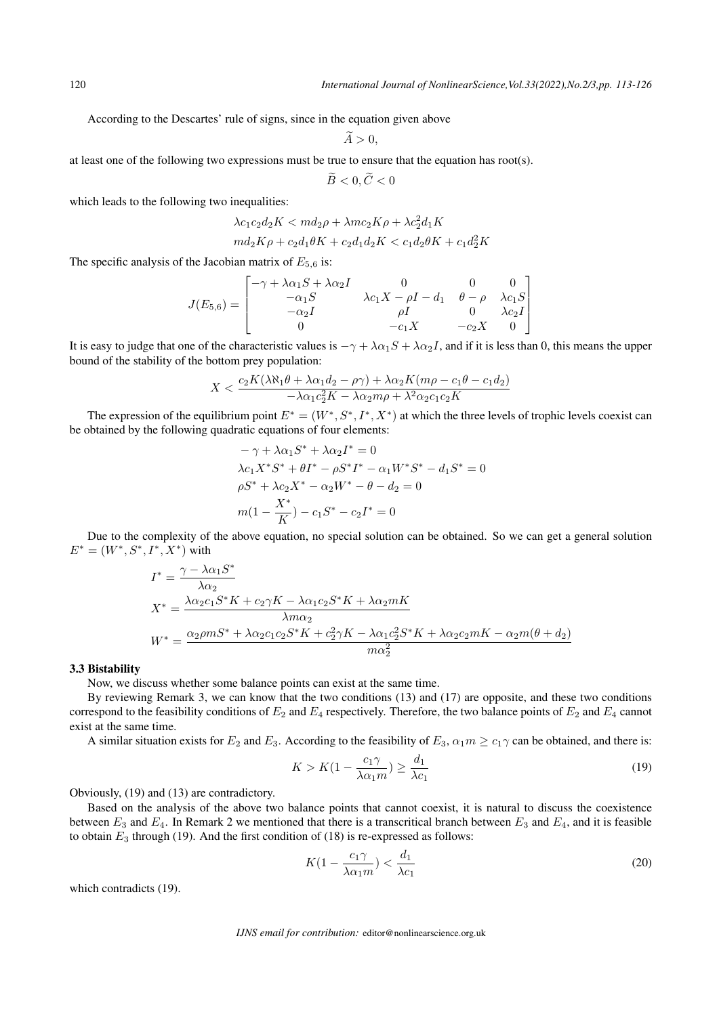According to the Descartes' rule of signs, since in the equation given above

$$
A>0,
$$

at least one of the following two expressions must be true to ensure that the equation has root(s).

$$
\widetilde{B}<0,\widetilde{C}<0
$$

which leads to the following two inequalities:

$$
\lambda c_1 c_2 d_2 K < m d_2 \rho + \lambda m c_2 K \rho + \lambda c_2^2 d_1 K
$$
\n
$$
m d_2 K \rho + c_2 d_1 \theta K + c_2 d_1 d_2 K < c_1 d_2 \theta K + c_1 d_2^2 K
$$

The specific analysis of the Jacobian matrix of *E*5*,*<sup>6</sup> is:

$$
J(E_{5,6}) = \begin{bmatrix} -\gamma + \lambda \alpha_1 S + \lambda \alpha_2 I & 0 & 0 & 0 \\ -\alpha_1 S & \lambda c_1 X - \rho I - d_1 & \theta - \rho & \lambda c_1 S \\ -\alpha_2 I & \rho I & 0 & \lambda c_2 I \\ 0 & -c_1 X & -c_2 X & 0 \end{bmatrix}
$$

It is easy to judge that one of the characteristic values is  $-\gamma + \lambda \alpha_1 S + \lambda \alpha_2 I$ , and if it is less than 0, this means the upper bound of the stability of the bottom prey population:

$$
X < \frac{c_2 K(\lambda \aleph_1 \theta + \lambda \alpha_1 d_2 - \rho \gamma) + \lambda \alpha_2 K (m\rho - c_1 \theta - c_1 d_2)}{-\lambda \alpha_1 c_2^2 K - \lambda \alpha_2 m \rho + \lambda^2 \alpha_2 c_1 c_2 K}
$$

The expression of the equilibrium point  $E^* = (W^*, S^*, I^*, X^*)$  at which the three levels of trophic levels coexist can be obtained by the following quadratic equations of four elements:

$$
-\gamma + \lambda \alpha_1 S^* + \lambda \alpha_2 I^* = 0
$$
  
\n
$$
\lambda c_1 X^* S^* + \theta I^* - \rho S^* I^* - \alpha_1 W^* S^* - d_1 S^* = 0
$$
  
\n
$$
\rho S^* + \lambda c_2 X^* - \alpha_2 W^* - \theta - d_2 = 0
$$
  
\n
$$
m(1 - \frac{X^*}{K}) - c_1 S^* - c_2 I^* = 0
$$

Due to the complexity of the above equation, no special solution can be obtained. So we can get a general solution  $E^* = (W^*, S^*, I^*, X^*)$  with

$$
I^* = \frac{\gamma - \lambda \alpha_1 S^*}{\lambda \alpha_2}
$$
  
\n
$$
X^* = \frac{\lambda \alpha_2 c_1 S^* K + c_2 \gamma K - \lambda \alpha_1 c_2 S^* K + \lambda \alpha_2 mK}{\lambda m \alpha_2}
$$
  
\n
$$
W^* = \frac{\alpha_2 \rho m S^* + \lambda \alpha_2 c_1 c_2 S^* K + c_2^2 \gamma K - \lambda \alpha_1 c_2^2 S^* K + \lambda \alpha_2 c_2 mK - \alpha_2 m(\theta + d_2)}{m \alpha_2^2}
$$

#### 3.3 Bistability

Now, we discuss whether some balance points can exist at the same time.

By reviewing Remark 3, we can know that the two conditions (13) and (17) are opposite, and these two conditions correspond to the feasibility conditions of *E*<sup>2</sup> and *E*<sup>4</sup> respectively. Therefore, the two balance points of *E*<sup>2</sup> and *E*<sup>4</sup> cannot exist at the same time.

A similar situation exists for  $E_2$  and  $E_3$ . According to the feasibility of  $E_3$ ,  $\alpha_1 m \ge c_1 \gamma$  can be obtained, and there is:

$$
K > K\left(1 - \frac{c_1 \gamma}{\lambda \alpha_1 m}\right) \ge \frac{d_1}{\lambda c_1} \tag{19}
$$

Obviously, (19) and (13) are contradictory.

Based on the analysis of the above two balance points that cannot coexist, it is natural to discuss the coexistence between  $E_3$  and  $E_4$ . In Remark 2 we mentioned that there is a transcritical branch between  $E_3$  and  $E_4$ , and it is feasible to obtain *E*<sup>3</sup> through (19). And the first condition of (18) is re-expressed as follows:

$$
K(1 - \frac{c_1 \gamma}{\lambda \alpha_1 m}) < \frac{d_1}{\lambda c_1} \tag{20}
$$

which contradicts (19).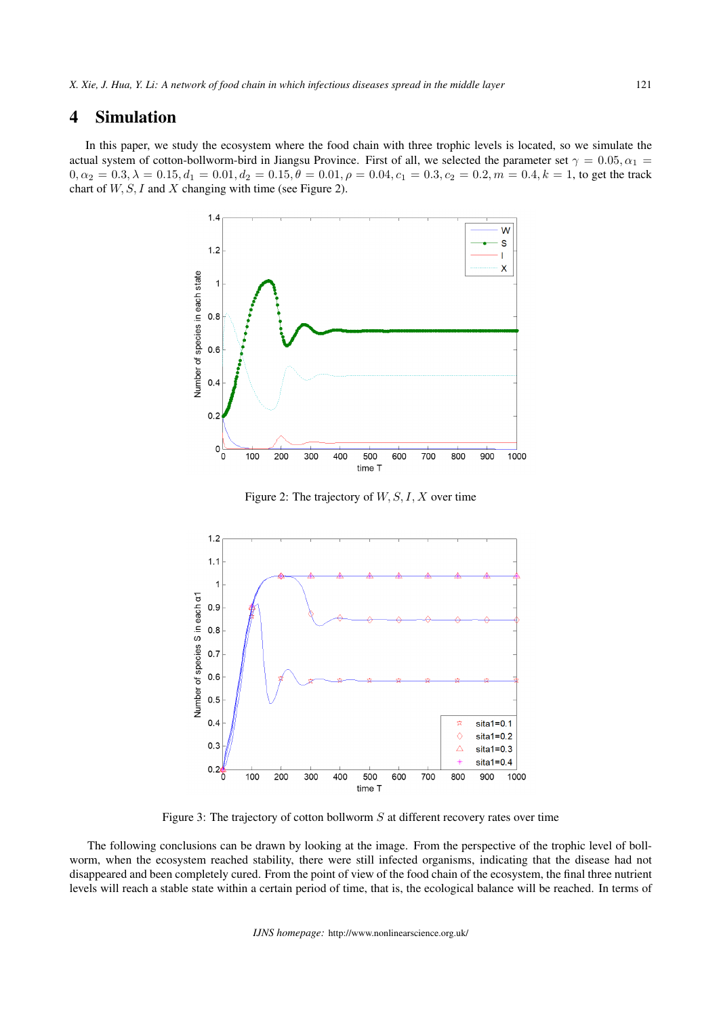## 4 Simulation

In this paper, we study the ecosystem where the food chain with three trophic levels is located, so we simulate the actual system of cotton-bollworm-bird in Jiangsu Province. First of all, we selected the parameter set  $\gamma = 0.05, \alpha_1 =$  $0, \alpha_2 = 0.3, \lambda = 0.15, d_1 = 0.01, d_2 = 0.15, \theta = 0.01, \rho = 0.04, c_1 = 0.3, c_2 = 0.2, m = 0.4, k = 1$ , to get the track chart of *W, S, I* and *X* changing with time (see Figure 2).



Figure 2: The trajectory of *W, S, I, X* over time



Figure 3: The trajectory of cotton bollworm *S* at different recovery rates over time

The following conclusions can be drawn by looking at the image. From the perspective of the trophic level of bollworm, when the ecosystem reached stability, there were still infected organisms, indicating that the disease had not disappeared and been completely cured. From the point of view of the food chain of the ecosystem, the final three nutrient levels will reach a stable state within a certain period of time, that is, the ecological balance will be reached. In terms of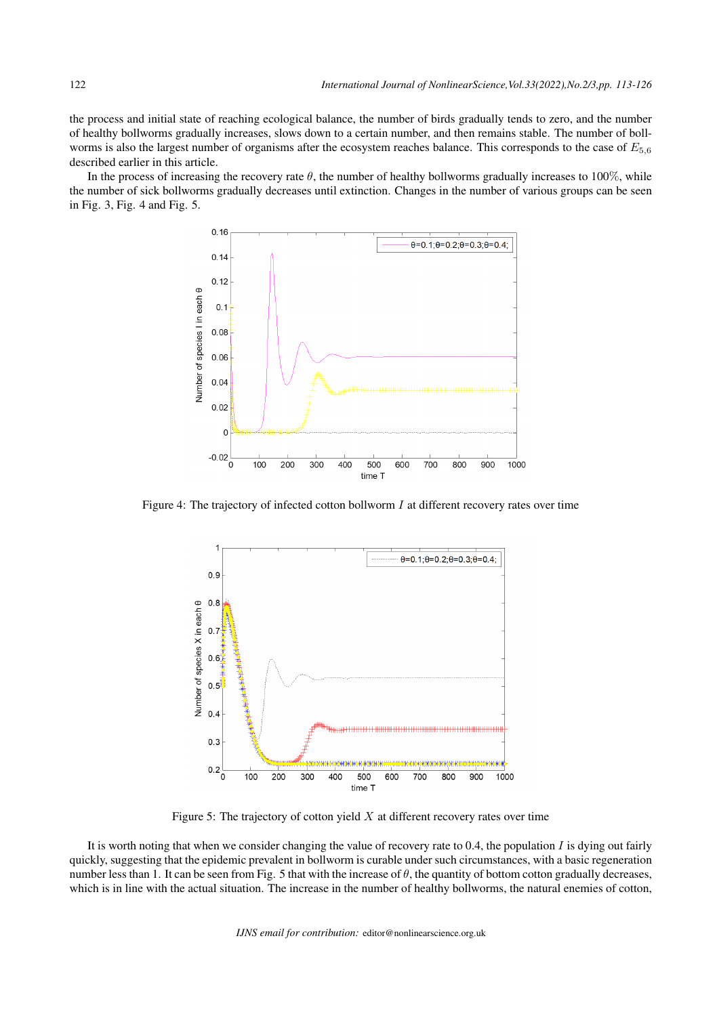the process and initial state of reaching ecological balance, the number of birds gradually tends to zero, and the number of healthy bollworms gradually increases, slows down to a certain number, and then remains stable. The number of bollworms is also the largest number of organisms after the ecosystem reaches balance. This corresponds to the case of *E*5*,*<sup>6</sup> described earlier in this article.

In the process of increasing the recovery rate  $\theta$ , the number of healthy bollworms gradually increases to 100%, while the number of sick bollworms gradually decreases until extinction. Changes in the number of various groups can be seen in Fig. 3, Fig. 4 and Fig. 5.



Figure 4: The trajectory of infected cotton bollworm *I* at different recovery rates over time



Figure 5: The trajectory of cotton yield *X* at different recovery rates over time

It is worth noting that when we consider changing the value of recovery rate to 0.4, the population *I* is dying out fairly quickly, suggesting that the epidemic prevalent in bollworm is curable under such circumstances, with a basic regeneration number less than 1. It can be seen from Fig. 5 that with the increase of *θ*, the quantity of bottom cotton gradually decreases, which is in line with the actual situation. The increase in the number of healthy bollworms, the natural enemies of cotton,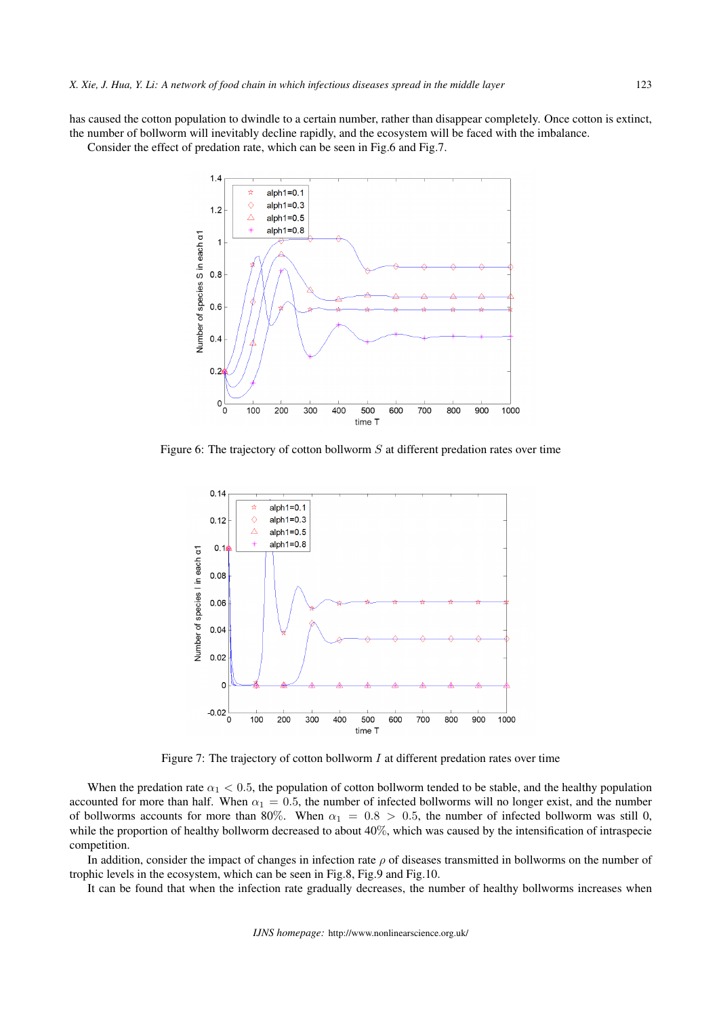has caused the cotton population to dwindle to a certain number, rather than disappear completely. Once cotton is extinct, the number of bollworm will inevitably decline rapidly, and the ecosystem will be faced with the imbalance.

Consider the effect of predation rate, which can be seen in Fig.6 and Fig.7.



Figure 6: The trajectory of cotton bollworm *S* at different predation rates over time



Figure 7: The trajectory of cotton bollworm *I* at different predation rates over time

When the predation rate  $\alpha_1 < 0.5$ , the population of cotton bollworm tended to be stable, and the healthy population accounted for more than half. When  $\alpha_1 = 0.5$ , the number of infected bollworms will no longer exist, and the number of bollworms accounts for more than 80%. When  $\alpha_1 = 0.8 > 0.5$ , the number of infected bollworm was still 0, while the proportion of healthy bollworm decreased to about 40%, which was caused by the intensification of intraspecie competition.

In addition, consider the impact of changes in infection rate *ρ* of diseases transmitted in bollworms on the number of trophic levels in the ecosystem, which can be seen in Fig.8, Fig.9 and Fig.10.

It can be found that when the infection rate gradually decreases, the number of healthy bollworms increases when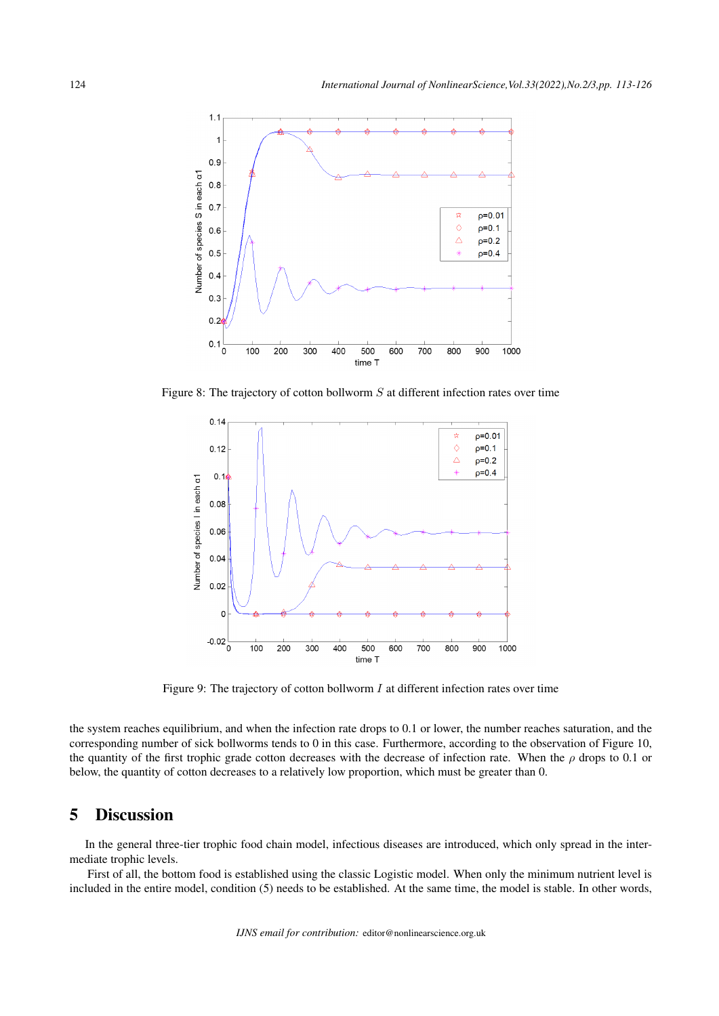

Figure 8: The trajectory of cotton bollworm *S* at different infection rates over time



Figure 9: The trajectory of cotton bollworm *I* at different infection rates over time

the system reaches equilibrium, and when the infection rate drops to 0.1 or lower, the number reaches saturation, and the corresponding number of sick bollworms tends to 0 in this case. Furthermore, according to the observation of Figure 10, the quantity of the first trophic grade cotton decreases with the decrease of infection rate. When the *ρ* drops to 0.1 or below, the quantity of cotton decreases to a relatively low proportion, which must be greater than 0.

# 5 Discussion

In the general three-tier trophic food chain model, infectious diseases are introduced, which only spread in the intermediate trophic levels.

First of all, the bottom food is established using the classic Logistic model. When only the minimum nutrient level is included in the entire model, condition (5) needs to be established. At the same time, the model is stable. In other words,

*IJNS email for contribution:* editor@nonlinearscience.org.uk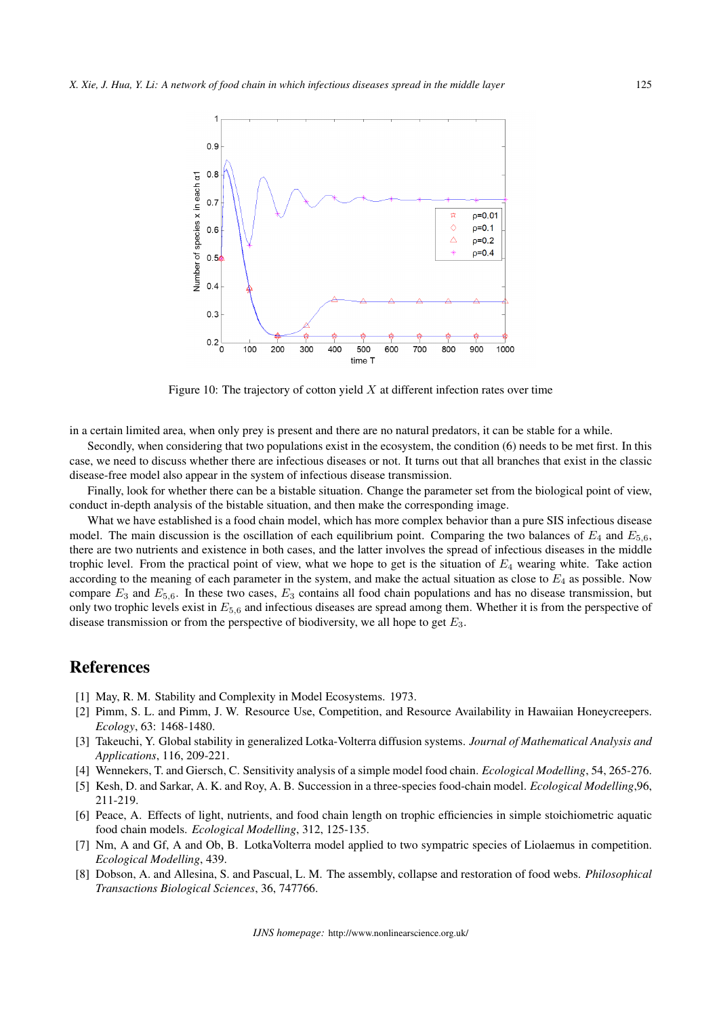

Figure 10: The trajectory of cotton yield *X* at different infection rates over time

in a certain limited area, when only prey is present and there are no natural predators, it can be stable for a while.

Secondly, when considering that two populations exist in the ecosystem, the condition (6) needs to be met first. In this case, we need to discuss whether there are infectious diseases or not. It turns out that all branches that exist in the classic disease-free model also appear in the system of infectious disease transmission.

Finally, look for whether there can be a bistable situation. Change the parameter set from the biological point of view, conduct in-depth analysis of the bistable situation, and then make the corresponding image.

What we have established is a food chain model, which has more complex behavior than a pure SIS infectious disease model. The main discussion is the oscillation of each equilibrium point. Comparing the two balances of  $E_4$  and  $E_{5,6}$ , there are two nutrients and existence in both cases, and the latter involves the spread of infectious diseases in the middle trophic level. From the practical point of view, what we hope to get is the situation of *E*<sup>4</sup> wearing white. Take action according to the meaning of each parameter in the system, and make the actual situation as close to  $E_4$  as possible. Now compare  $E_3$  and  $E_{5,6}$ . In these two cases,  $E_3$  contains all food chain populations and has no disease transmission, but only two trophic levels exist in *E*5*,*<sup>6</sup> and infectious diseases are spread among them. Whether it is from the perspective of disease transmission or from the perspective of biodiversity, we all hope to get *E*3.

## References

- [1] May, R. M. Stability and Complexity in Model Ecosystems. 1973.
- [2] Pimm, S. L. and Pimm, J. W. Resource Use, Competition, and Resource Availability in Hawaiian Honeycreepers. *Ecology*, 63: 1468-1480.
- [3] Takeuchi, Y. Global stability in generalized Lotka-Volterra diffusion systems. *Journal of Mathematical Analysis and Applications*, 116, 209-221.
- [4] Wennekers, T. and Giersch, C. Sensitivity analysis of a simple model food chain. *Ecological Modelling*, 54, 265-276.
- [5] Kesh, D. and Sarkar, A. K. and Roy, A. B. Succession in a three-species food-chain model. *Ecological Modelling*,96, 211-219.
- [6] Peace, A. Effects of light, nutrients, and food chain length on trophic efficiencies in simple stoichiometric aquatic food chain models. *Ecological Modelling*, 312, 125-135.
- [7] Nm, A and Gf, A and Ob, B. LotkaVolterra model applied to two sympatric species of Liolaemus in competition. *Ecological Modelling*, 439.
- [8] Dobson, A. and Allesina, S. and Pascual, L. M. The assembly, collapse and restoration of food webs. *Philosophical Transactions Biological Sciences*, 36, 747766.